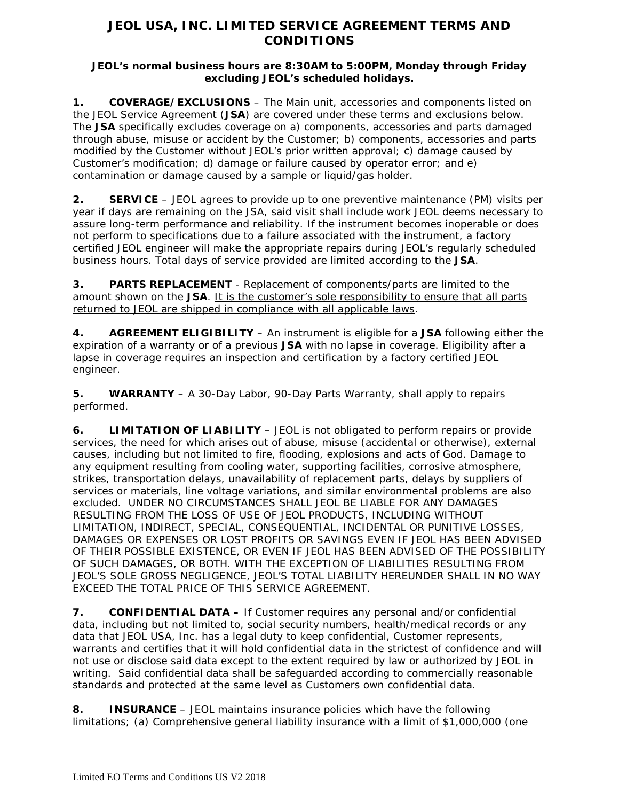## **JEOL USA, INC. LIMITED SERVICE AGREEMENT TERMS AND CONDITIONS**

## **JEOL's normal business hours are 8:30AM to 5:00PM, Monday through Friday excluding JEOL's scheduled holidays.**

**1. COVERAGE/EXCLUSIONS** – The Main unit, accessories and components listed on the JEOL Service Agreement (**JSA**) are covered under these terms and exclusions below. The **JSA** specifically excludes coverage on a) components, accessories and parts damaged through abuse, misuse or accident by the Customer; b) components, accessories and parts modified by the Customer without JEOL's prior written approval; c) damage caused by Customer's modification; d) damage or failure caused by operator error; and e) contamination or damage caused by a sample or liquid/gas holder.

**2. SERVICE** – JEOL agrees to provide up to one preventive maintenance (PM) visits per year if days are remaining on the JSA, said visit shall include work JEOL deems necessary to assure long-term performance and reliability. If the instrument becomes inoperable or does not perform to specifications due to a failure associated with the instrument, a factory certified JEOL engineer will make the appropriate repairs during JEOL's regularly scheduled business hours. Total days of service provided are limited according to the **JSA**.

**3. PARTS REPLACEMENT** - Replacement of components/parts are limited to the amount shown on the **JSA**. It is the customer's sole responsibility to ensure that all parts returned to JEOL are shipped in compliance with all applicable laws.

**4. AGREEMENT ELIGIBILITY** – An instrument is eligible for a **JSA** following either the expiration of a warranty or of a previous **JSA** with no lapse in coverage. Eligibility after a lapse in coverage requires an inspection and certification by a factory certified JEOL engineer.

**5. WARRANTY** – A 30-Day Labor, 90-Day Parts Warranty, shall apply to repairs performed.

**6. LIMITATION OF LIABILITY** – JEOL is not obligated to perform repairs or provide services, the need for which arises out of abuse, misuse (accidental or otherwise), external causes, including but not limited to fire, flooding, explosions and acts of God. Damage to any equipment resulting from cooling water, supporting facilities, corrosive atmosphere, strikes, transportation delays, unavailability of replacement parts, delays by suppliers of services or materials, line voltage variations, and similar environmental problems are also excluded. UNDER NO CIRCUMSTANCES SHALL JEOL BE LIABLE FOR ANY DAMAGES RESULTING FROM THE LOSS OF USE OF JEOL PRODUCTS, INCLUDING WITHOUT LIMITATION, INDIRECT, SPECIAL, CONSEQUENTIAL, INCIDENTAL OR PUNITIVE LOSSES, DAMAGES OR EXPENSES OR LOST PROFITS OR SAVINGS EVEN IF JEOL HAS BEEN ADVISED OF THEIR POSSIBLE EXISTENCE, OR EVEN IF JEOL HAS BEEN ADVISED OF THE POSSIBILITY OF SUCH DAMAGES, OR BOTH. WITH THE EXCEPTION OF LIABILITIES RESULTING FROM JEOL'S SOLE GROSS NEGLIGENCE, JEOL'S TOTAL LIABILITY HEREUNDER SHALL IN NO WAY EXCEED THE TOTAL PRICE OF THIS SERVICE AGREEMENT.

**7. CONFIDENTIAL DATA –** If Customer requires any personal and/or confidential data, including but not limited to, social security numbers, health/medical records or any data that JEOL USA, Inc. has a legal duty to keep confidential, Customer represents, warrants and certifies that it will hold confidential data in the strictest of confidence and will not use or disclose said data except to the extent required by law or authorized by JEOL in writing. Said confidential data shall be safeguarded according to commercially reasonable standards and protected at the same level as Customers own confidential data.

**8. INSURANCE** – JEOL maintains insurance policies which have the following limitations; (a) Comprehensive general liability insurance with a limit of \$1,000,000 (one